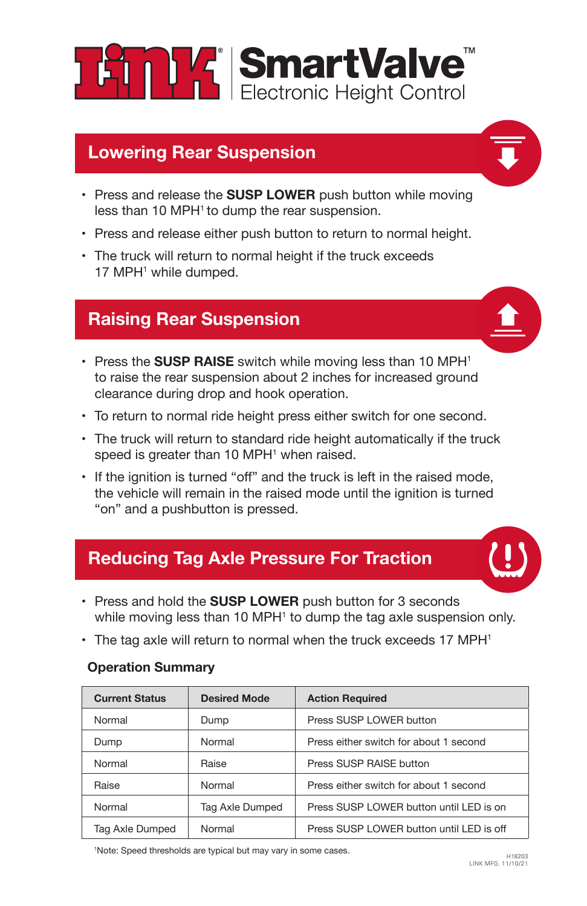

## **Lowering Rear Suspension**

- Press and release the **SUSP LOWER** push button while moving less than 10 MPH<sup>1</sup> to dump the rear suspension.
- Press and release either push button to return to normal height.
- The truck will return to normal height if the truck exceeds 17 MPH<sup>1</sup> while dumped.

## **Raising Rear Suspension**

- 
- Press the **SUSP RAISE** switch while moving less than 10 MPH<sup>1</sup> to raise the rear suspension about 2 inches for increased ground clearance during drop and hook operation.
- To return to normal ride height press either switch for one second.
- The truck will return to standard ride height automatically if the truck speed is greater than 10 MPH<sup>1</sup> when raised.
- If the ignition is turned "off" and the truck is left in the raised mode, the vehicle will remain in the raised mode until the ignition is turned "on" and a pushbutton is pressed.

## **Reducing Tag Axle Pressure For Traction**

- Press and hold the **SUSP LOWER** push button for 3 seconds while moving less than 10 MPH<sup>1</sup> to dump the tag axle suspension only.
- $\cdot$  The tag axle will return to normal when the truck exceeds 17 MPH<sup>1</sup>

| <b>Current Status</b> | <b>Desired Mode</b> | <b>Action Required</b>                   |
|-----------------------|---------------------|------------------------------------------|
| Normal                | Dump                | Press SUSP LOWER button                  |
| Dump                  | Normal              | Press either switch for about 1 second   |
| Normal                | Raise               | Press SUSP RAISE button                  |
| Raise                 | Normal              | Press either switch for about 1 second   |
| Normal                | Tag Axle Dumped     | Press SUSP LOWER button until LED is on  |
| Tag Axle Dumped       | Normal              | Press SUSP LOWER button until LED is off |

#### **Operation Summary**

<sup>1</sup>Note: Speed thresholds are typical but may vary in some cases.<br>
H18203